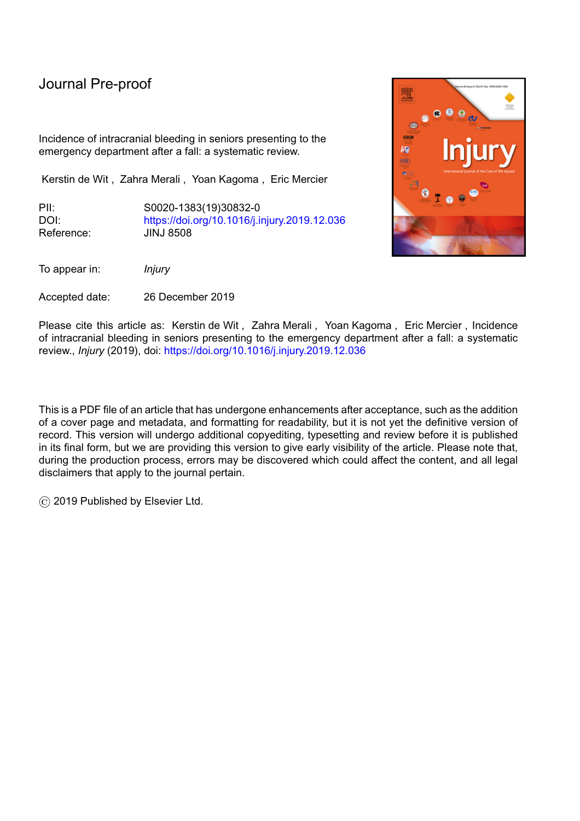# Journal Pre-proof

Incidence of intracranial bleeding in seniors presenting to the emergency department after a fall: a systematic review.

Kerstin de Wit , Zahra Merali , Yoan Kagoma , Eric Mercier

PII: S0020-1383(19)30832-0 DOI: <https://doi.org/10.1016/j.injury.2019.12.036> Reference: JINJ 8508

To appear in: *Injury*

Accepted date: 26 December 2019

Please cite this article as: Kerstin de Wit , Zahra Merali , Yoan Kagoma , Eric Mercier , Incidence of intracranial bleeding in seniors presenting to the emergency department after a fall: a systematic review., *Injury* (2019), doi: <https://doi.org/10.1016/j.injury.2019.12.036>

This is a PDF file of an article that has undergone enhancements after acceptance, such as the addition of a cover page and metadata, and formatting for readability, but it is not yet the definitive version of record. This version will undergo additional copyediting, typesetting and review before it is published in its final form, but we are providing this version to give early visibility of the article. Please note that, during the production process, errors may be discovered which could affect the content, and all legal disclaimers that apply to the journal pertain.

© 2019 Published by Elsevier Ltd.

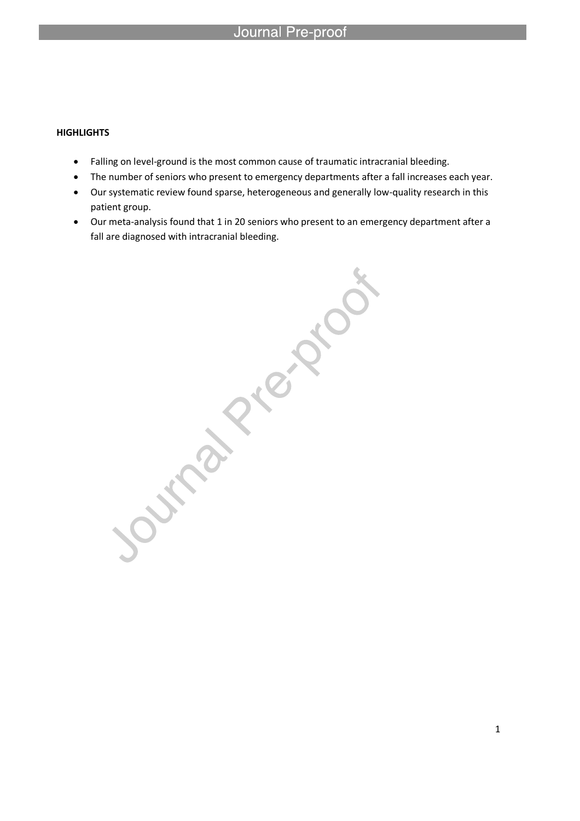## **HIGHLIGHTS**

Falling on level-ground is the most common cause of traumatic intracranial bleeding.

l

- The number of seniors who present to emergency departments after a fall increases each year.
- Our systematic review found sparse, heterogeneous and generally low-quality research in this
- Our meta-analysis found that 1 in 20 seniors who present to an emergency department after a fall are diagnosed with intracranial bleeding.

patient group.<br>Our meta-analysis found that 1 in 20 seniors who present to a<br>fall are diagnosed with intracranial bleeding.<br><br>and the context of the context of the context of the context of the context of the context of the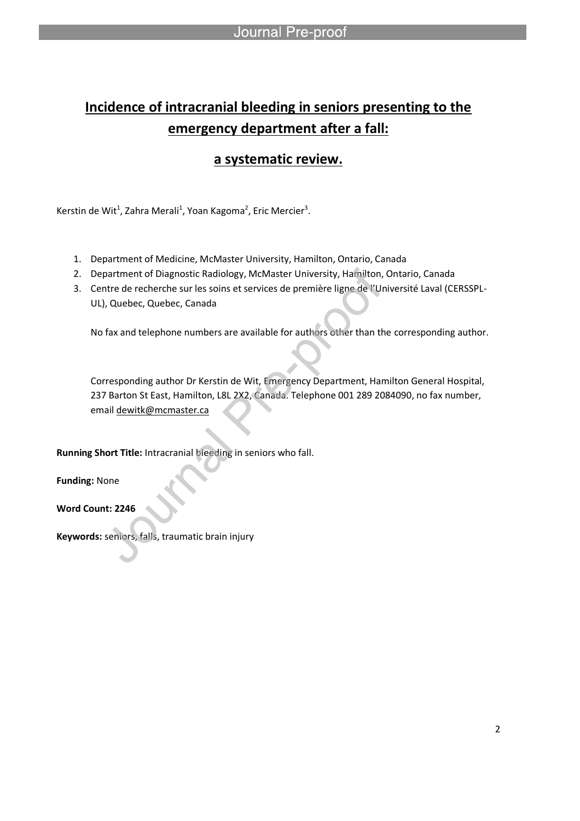# **Incidence of intracranial bleeding in seniors presenting to the emergency department after a fall:**

# **a systematic review.**

Kerstin de Wit<sup>1</sup>, Zahra Merali<sup>1</sup>, Yoan Kagoma<sup>2</sup>, Eric Mercier<sup>3</sup>.

l

- 1. Department of Medicine, McMaster University, Hamilton, Ontario, Canada
- 2. Department of Diagnostic Radiology, McMaster University, Hamilton, Ontario, Canada
- 3. Centre de recherche sur les soins et services de première ligne de l'Université Laval (CERSSPL-UL), Quebec, Quebec, Canada

No fax and telephone numbers are available for authors other than the corresponding author.

Corresponding author Dr Kerstin de Wit, Emergency Department, Hamilton General Hospital, 237 Barton St East, Hamilton, L8L 2X2, Canada. Telephone 001 289 2084090, no fax number, email dewitk@mcmaster.ca

**Running Short Title:** Intracranial bleeding in seniors who fall.

**Funding:** None

**Word Count: 2246**

**Keywords:** seniors, falls, traumatic brain injury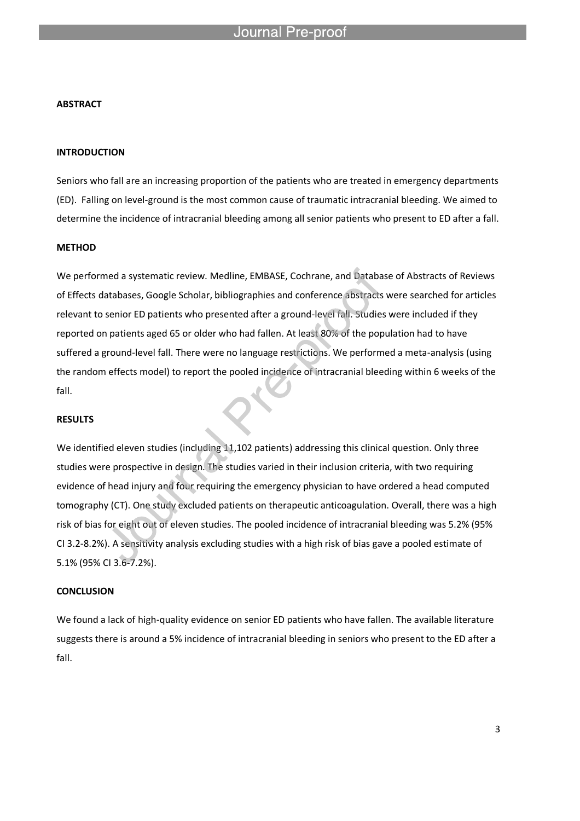## Journal

l

### **ABSTRACT**

### **INTRODUCTION**

Seniors who fall are an increasing proportion of the patients who are treated in emergency departments (ED). Falling on level-ground is the most common cause of traumatic intracranial bleeding. We aimed to determine the incidence of intracranial bleeding among all senior patients who present to ED after a fall.

### **METHOD**

We performed a systematic review. Medline, EMBASE, Cochrane, and Database of Abstracts of Reviews of Effects databases, Google Scholar, bibliographies and conference abstracts were searched for articles relevant to senior ED patients who presented after a ground-level fall. Studies were included if they reported on patients aged 65 or older who had fallen. At least 80% of the population had to have suffered a ground-level fall. There were no language restrictions. We performed a meta-analysis (using the random effects model) to report the pooled incidence of intracranial bleeding within 6 weeks of the fall.

### **RESULTS**

We identified eleven studies (including 11,102 patients) addressing this clinical question. Only three studies were prospective in design. The studies varied in their inclusion criteria, with two requiring evidence of head injury and four requiring the emergency physician to have ordered a head computed tomography (CT). One study excluded patients on therapeutic anticoagulation. Overall, there was a high risk of bias for eight out of eleven studies. The pooled incidence of intracranial bleeding was 5.2% (95% CI 3.2-8.2%). A sensitivity analysis excluding studies with a high risk of bias gave a pooled estimate of 5.1% (95% CI 3.6-7.2%).

### **CONCLUSION**

We found a lack of high-quality evidence on senior ED patients who have fallen. The available literature suggests there is around a 5% incidence of intracranial bleeding in seniors who present to the ED after a fall.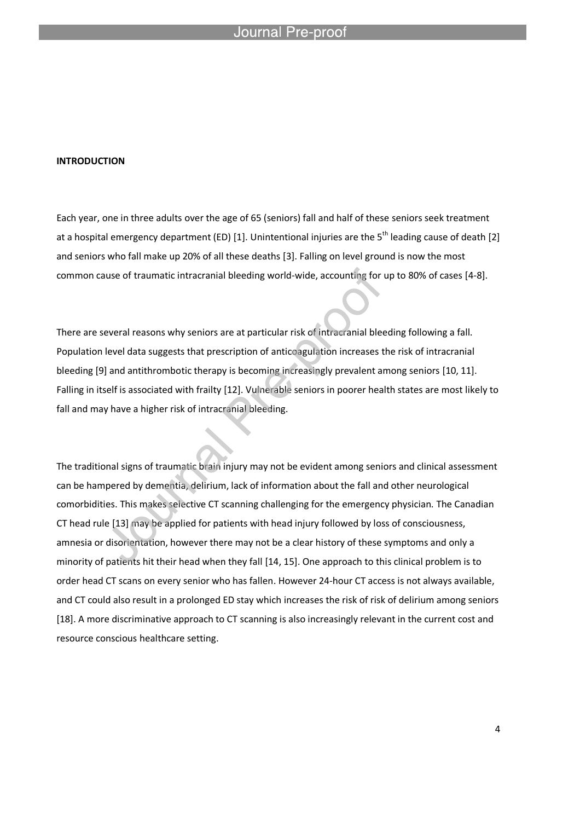### **INTRODUCTION**

Each year, one in three adults over the age of 65 (seniors) fall and half of these seniors seek treatment at a hospital emergency department (ED) [1]. Unintentional injuries are the  $5<sup>th</sup>$  leading cause of death [2] and seniors who fall make up 20% of all these deaths [3]. Falling on level ground is now the most common cause of traumatic intracranial bleeding world-wide, accounting for up to 80% of cases [4-8].

There are several reasons why seniors are at particular risk of intracranial bleeding following a fall. Population level data suggests that prescription of anticoagulation increases the risk of intracranial bleeding [9] and antithrombotic therapy is becoming increasingly prevalent among seniors [10, 11]. Falling in itself is associated with frailty [12]. Vulnerable seniors in poorer health states are most likely to fall and may have a higher risk of intracranial bleeding.

The traditional signs of traumatic brain injury may not be evident among seniors and clinical assessment can be hampered by dementia, delirium, lack of information about the fall and other neurological comorbidities. This makes selective CT scanning challenging for the emergency physician. The Canadian CT head rule [13] may be applied for patients with head injury followed by loss of consciousness, amnesia or disorientation, however there may not be a clear history of these symptoms and only a minority of patients hit their head when they fall [14, 15]. One approach to this clinical problem is to order head CT scans on every senior who has fallen. However 24-hour CT access is not always available, and CT could also result in a prolonged ED stay which increases the risk of risk of delirium among seniors [18]. A more discriminative approach to CT scanning is also increasingly relevant in the current cost and resource conscious healthcare setting.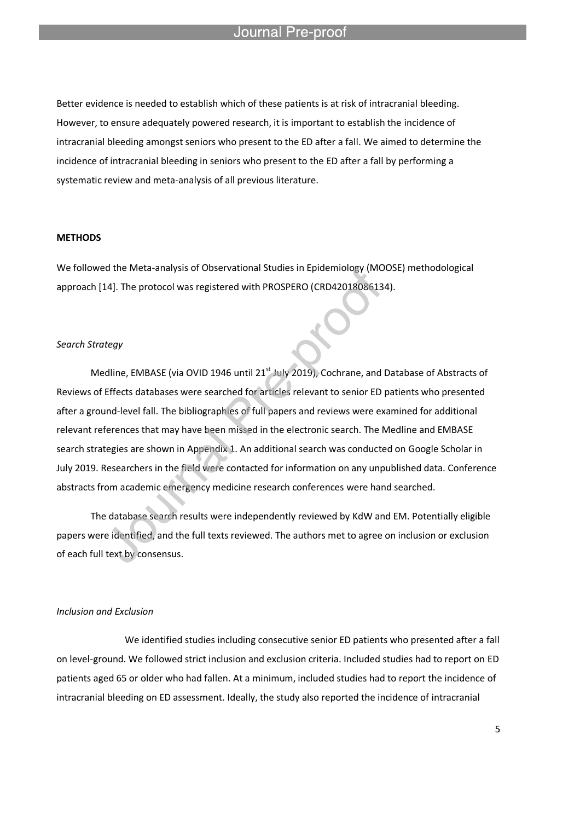#### Journal Pre-proo<sup>.</sup>

Better evidence is needed to establish which of these patients is at risk of intracranial bleeding. However, to ensure adequately powered research, it is important to establish the incidence of intracranial bleeding amongst seniors who present to the ED after a fall. We aimed to determine the incidence of intracranial bleeding in seniors who present to the ED after a fall by performing a systematic review and meta-analysis of all previous literature.

l

### **METHODS**

We followed the Meta-analysis of Observational Studies in Epidemiology (MOOSE) methodological approach [14]. The protocol was registered with PROSPERO (CRD42018086134).

### *Search Strategy*

Medline, EMBASE (via OVID 1946 until 21<sup>st</sup> July 2019), Cochrane, and Database of Abstracts of Reviews of Effects databases were searched for articles relevant to senior ED patients who presented after a ground-level fall. The bibliographies of full papers and reviews were examined for additional relevant references that may have been missed in the electronic search. The Medline and EMBASE search strategies are shown in Appendix 1. An additional search was conducted on Google Scholar in July 2019. Researchers in the field were contacted for information on any unpublished data. Conference abstracts from academic emergency medicine research conferences were hand searched.

The database search results were independently reviewed by KdW and EM. Potentially eligible papers were identified, and the full texts reviewed. The authors met to agree on inclusion or exclusion of each full text by consensus.

### *Inclusion and Exclusion*

We identified studies including consecutive senior ED patients who presented after a fall on level-ground. We followed strict inclusion and exclusion criteria. Included studies had to report on ED patients aged 65 or older who had fallen. At a minimum, included studies had to report the incidence of intracranial bleeding on ED assessment. Ideally, the study also reported the incidence of intracranial

5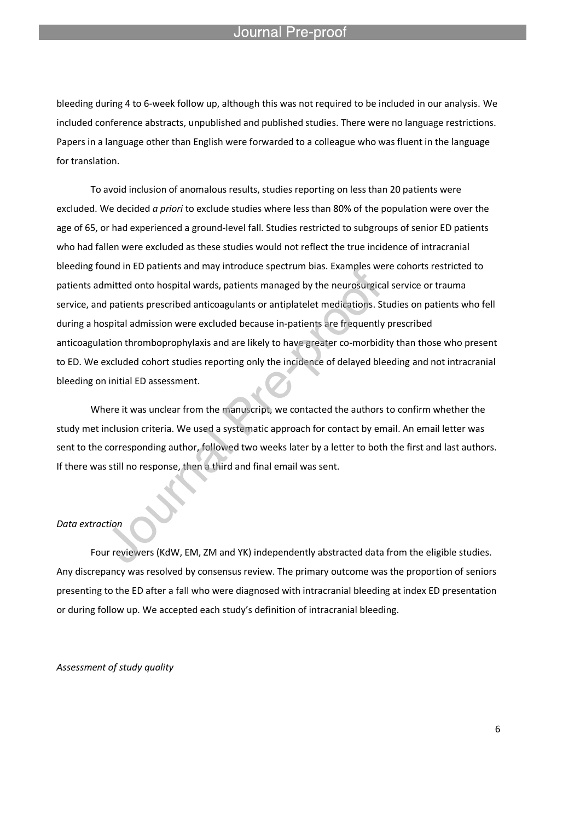#### Journal Pre-proo

l

bleeding during 4 to 6-week follow up, although this was not required to be included in our analysis. We included conference abstracts, unpublished and published studies. There were no language restrictions. Papers in a language other than English were forwarded to a colleague who was fluent in the language for translation.

To avoid inclusion of anomalous results, studies reporting on less than 20 patients were excluded. We decided *a priori* to exclude studies where less than 80% of the population were over the age of 65, or had experienced a ground-level fall. Studies restricted to subgroups of senior ED patients who had fallen were excluded as these studies would not reflect the true incidence of intracranial bleeding found in ED patients and may introduce spectrum bias. Examples were cohorts restricted to patients admitted onto hospital wards, patients managed by the neurosurgical service or trauma service, and patients prescribed anticoagulants or antiplatelet medications. Studies on patients who fell during a hospital admission were excluded because in-patients are frequently prescribed anticoagulation thromboprophylaxis and are likely to have greater co-morbidity than those who present to ED. We excluded cohort studies reporting only the incidence of delayed bleeding and not intracranial bleeding on initial ED assessment.

Where it was unclear from the manuscript, we contacted the authors to confirm whether the study met inclusion criteria. We used a systematic approach for contact by email. An email letter was sent to the corresponding author, followed two weeks later by a letter to both the first and last authors. If there was still no response, then a third and final email was sent.

### *Data extraction*

Four reviewers (KdW, EM, ZM and YK) independently abstracted data from the eligible studies. Any discrepancy was resolved by consensus review. The primary outcome was the proportion of seniors presenting to the ED after a fall who were diagnosed with intracranial bleeding at index ED presentation or during follow up. We accepted each study's definition of intracranial bleeding.

*Assessment of study quality*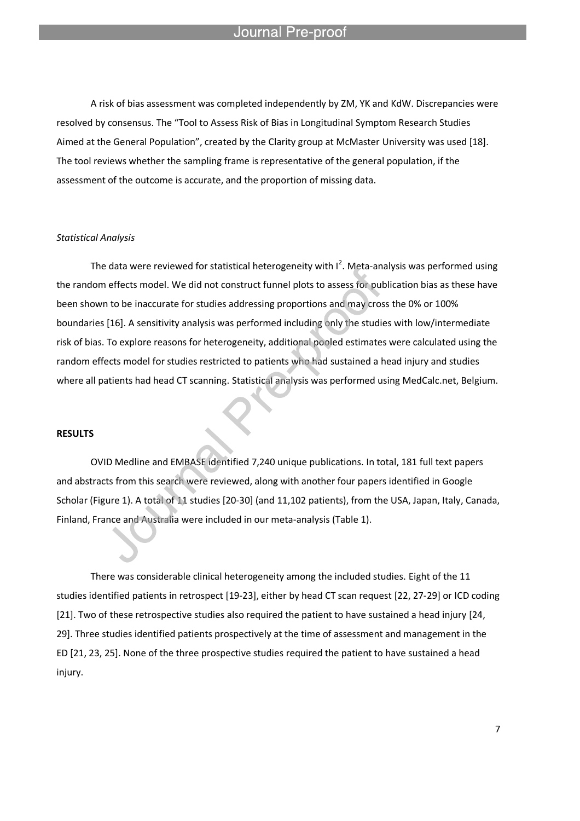#### Journal Pre-proo<sup>.</sup>

l

A risk of bias assessment was completed independently by ZM, YK and KdW. Discrepancies were resolved by consensus. The "Tool to Assess Risk of Bias in Longitudinal Symptom Research Studies Aimed at the General Population", created by the Clarity group at McMaster University was used [18]. The tool reviews whether the sampling frame is representative of the general population, if the assessment of the outcome is accurate, and the proportion of missing data.

### *Statistical Analysis*

The data were reviewed for statistical heterogeneity with  $I^2$ . Meta-analysis was performed using the random effects model. We did not construct funnel plots to assess for publication bias as these have been shown to be inaccurate for studies addressing proportions and may cross the 0% or 100% boundaries [16]. A sensitivity analysis was performed including only the studies with low/intermediate risk of bias. To explore reasons for heterogeneity, additional pooled estimates were calculated using the random effects model for studies restricted to patients who had sustained a head injury and studies where all patients had head CT scanning. Statistical analysis was performed using MedCalc.net, Belgium.

### **RESULTS**

OVID Medline and EMBASE identified 7,240 unique publications. In total, 181 full text papers and abstracts from this search were reviewed, along with another four papers identified in Google Scholar (Figure 1). A total of 11 studies [20-30] (and 11,102 patients), from the USA, Japan, Italy, Canada, Finland, France and Australia were included in our meta-analysis (Table 1).

There was considerable clinical heterogeneity among the included studies. Eight of the 11 studies identified patients in retrospect [19-23], either by head CT scan request [22, 27-29] or ICD coding [21]. Two of these retrospective studies also required the patient to have sustained a head injury [24, 29]. Three studies identified patients prospectively at the time of assessment and management in the ED [21, 23, 25]. None of the three prospective studies required the patient to have sustained a head injury.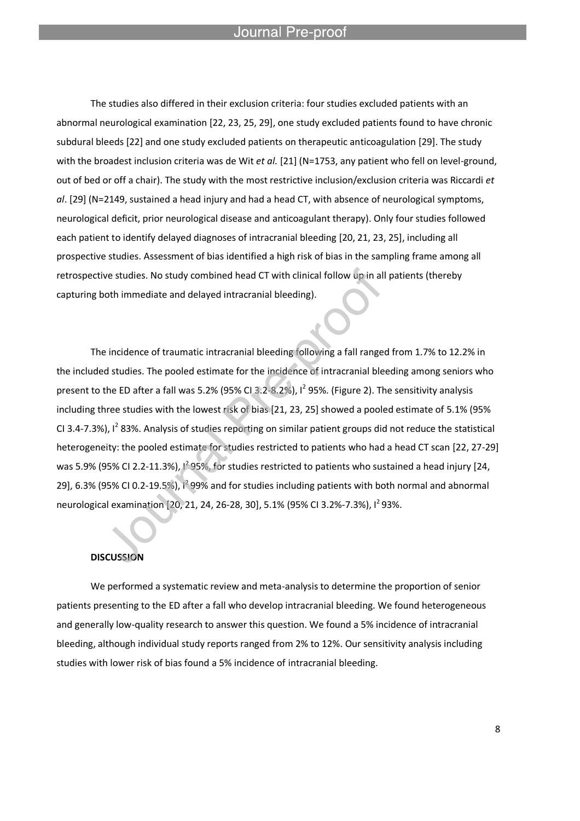Journal Pre-proo

l

The studies also differed in their exclusion criteria: four studies excluded patients with an abnormal neurological examination [22, 23, 25, 29], one study excluded patients found to have chronic subdural bleeds [22] and one study excluded patients on therapeutic anticoagulation [29]. The study with the broadest inclusion criteria was de Wit *et al.* [21] (N=1753, any patient who fell on level-ground, out of bed or off a chair). The study with the most restrictive inclusion/exclusion criteria was Riccardi *et al*. [29] (N=2149, sustained a head injury and had a head CT, with absence of neurological symptoms, neurological deficit, prior neurological disease and anticoagulant therapy). Only four studies followed each patient to identify delayed diagnoses of intracranial bleeding [20, 21, 23, 25], including all prospective studies. Assessment of bias identified a high risk of bias in the sampling frame among all retrospective studies. No study combined head CT with clinical follow up in all patients (thereby capturing both immediate and delayed intracranial bleeding).

The incidence of traumatic intracranial bleeding following a fall ranged from 1.7% to 12.2% in the included studies. The pooled estimate for the incidence of intracranial bleeding among seniors who present to the ED after a fall was 5.2% (95% CI 3.2-8.2%),  $I^2$  95%. (Figure 2). The sensitivity analysis including three studies with the lowest risk of bias [21, 23, 25] showed a pooled estimate of 5.1% (95% CI 3.4-7.3%), I<sup>2</sup> 83%. Analysis of studies reporting on similar patient groups did not reduce the statistical heterogeneity: the pooled estimate for studies restricted to patients who had a head CT scan [22, 27-29] was 5.9% (95% CI 2.2-11.3%),  $l^2$ 95%, for studies restricted to patients who sustained a head injury [24, 29], 6.3% (95% CI 0.2-19.5%),  $1^2$  99% and for studies including patients with both normal and abnormal neurological examination [20, 21, 24, 26-28, 30], 5.1% (95% CI 3.2%-7.3%), I<sup>2</sup> 93%.

### **DISCUSSION**

We performed a systematic review and meta-analysis to determine the proportion of senior patients presenting to the ED after a fall who develop intracranial bleeding. We found heterogeneous and generally low-quality research to answer this question. We found a 5% incidence of intracranial bleeding, although individual study reports ranged from 2% to 12%. Our sensitivity analysis including studies with lower risk of bias found a 5% incidence of intracranial bleeding.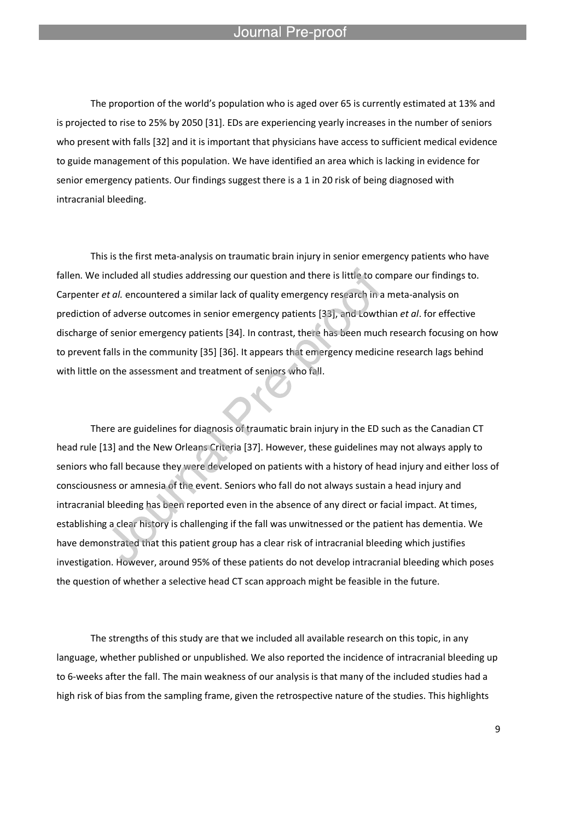### Journal Pre-proot

l

The proportion of the world's population who is aged over 65 is currently estimated at 13% and is projected to rise to 25% by 2050 [31]. EDs are experiencing yearly increases in the number of seniors who present with falls [32] and it is important that physicians have access to sufficient medical evidence to guide management of this population. We have identified an area which is lacking in evidence for senior emergency patients. Our findings suggest there is a 1 in 20 risk of being diagnosed with intracranial bleeding.

This is the first meta-analysis on traumatic brain injury in senior emergency patients who have fallen. We included all studies addressing our question and there is little to compare our findings to. Carpenter *et al.* encountered a similar lack of quality emergency research in a meta-analysis on prediction of adverse outcomes in senior emergency patients [33], and Lowthian *et al*. for effective discharge of senior emergency patients [34]. In contrast, there has been much research focusing on how to prevent falls in the community [35] [36]. It appears that emergency medicine research lags behind with little on the assessment and treatment of seniors who fall.

There are guidelines for diagnosis of traumatic brain injury in the ED such as the Canadian CT head rule [13] and the New Orleans Criteria [37]. However, these guidelines may not always apply to seniors who fall because they were developed on patients with a history of head injury and either loss of consciousness or amnesia of the event. Seniors who fall do not always sustain a head injury and intracranial bleeding has been reported even in the absence of any direct or facial impact. At times, establishing a clear history is challenging if the fall was unwitnessed or the patient has dementia. We have demonstrated that this patient group has a clear risk of intracranial bleeding which justifies investigation. However, around 95% of these patients do not develop intracranial bleeding which poses the question of whether a selective head CT scan approach might be feasible in the future.

The strengths of this study are that we included all available research on this topic, in any language, whether published or unpublished. We also reported the incidence of intracranial bleeding up to 6-weeks after the fall. The main weakness of our analysis is that many of the included studies had a high risk of bias from the sampling frame, given the retrospective nature of the studies. This highlights

9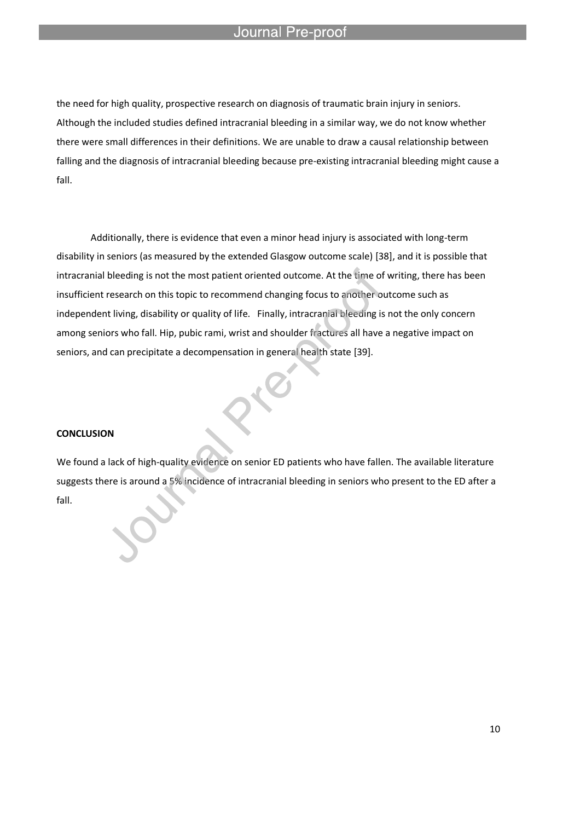#### Journal Pre-proo<sup>.</sup>

l

the need for high quality, prospective research on diagnosis of traumatic brain injury in seniors. Although the included studies defined intracranial bleeding in a similar way, we do not know whether there were small differences in their definitions. We are unable to draw a causal relationship between falling and the diagnosis of intracranial bleeding because pre-existing intracranial bleeding might cause a fall.

Additionally, there is evidence that even a minor head injury is associated with long-term disability in seniors (as measured by the extended Glasgow outcome scale) [38], and it is possible that intracranial bleeding is not the most patient oriented outcome. At the time of writing, there has been insufficient research on this topic to recommend changing focus to another outcome such as independent living, disability or quality of life. Finally, intracranial bleeding is not the only concern among seniors who fall. Hip, pubic rami, wrist and shoulder fractures all have a negative impact on seniors, and can precipitate a decompensation in general health state [39].

### **CONCLUSION**

We found a lack of high-quality evidence on senior ED patients who have fallen. The available literature suggests there is around a 5% incidence of intracranial bleeding in seniors who present to the ED after a fall.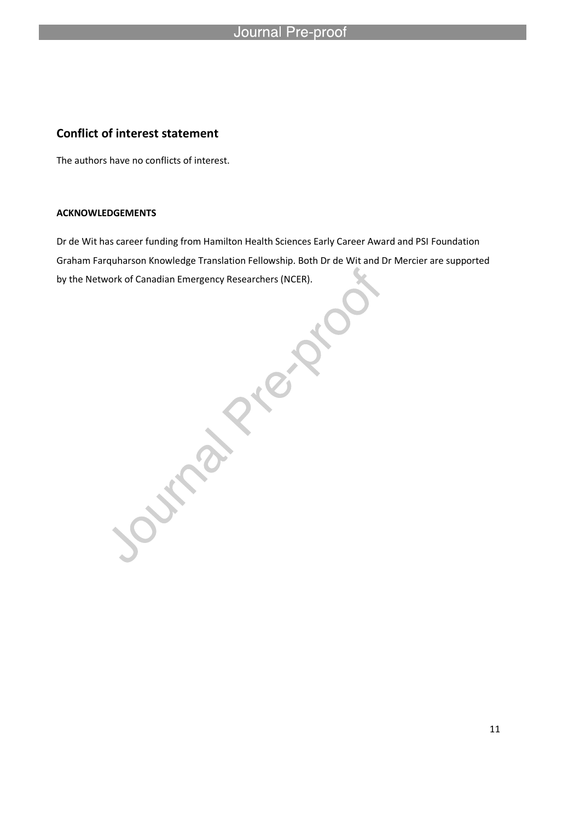# Journal Pre-proof

# **Conflict of interest statement**

l

The authors have no conflicts of interest.

### **ACKNOWLEDGEMENTS**

Graham Farquharson Knowledge Translation Fellowship. Both Dr de Wit and Dr Mercier are supported by the Network of Canadian Emergency Researchers (NCER).

Dr de Wit has career funding from Hamilton Health Sciences Early Career Award and PSI Foundation<br>Graham Farquharson Knowledge Translation Fellowship. Both Dr de Wit and Dr Mercier are supporte<br>by the Network of Canadian Em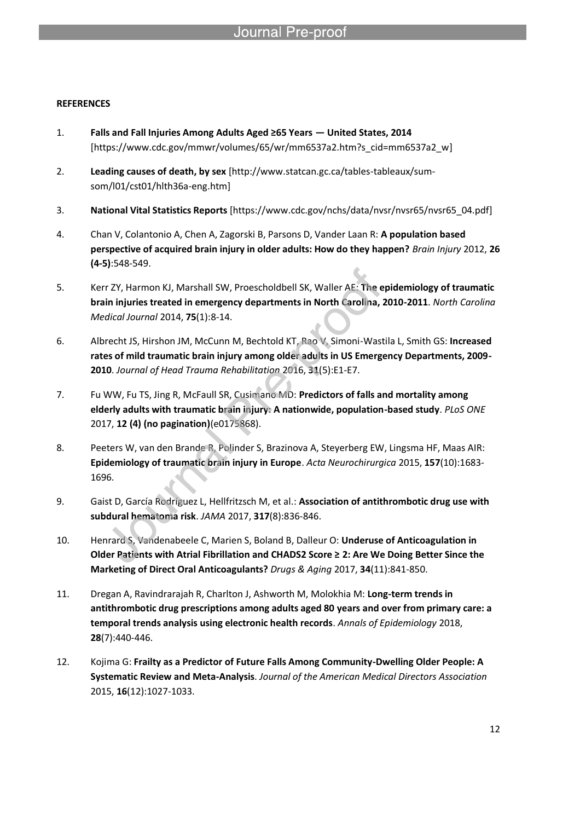### **REFERENCES**

- 1. **Falls and Fall Injuries Among Adults Aged ≥65 Years — United States, 2014**  [https://www.cdc.gov/mmwr/volumes/65/wr/mm6537a2.htm?s\_cid=mm6537a2\_w]
- 2. **Leading causes of death, by sex** [http://www.statcan.gc.ca/tables-tableaux/sumsom/l01/cst01/hlth36a-eng.htm]

- 3. **National Vital Statistics Reports** [https://www.cdc.gov/nchs/data/nvsr/nvsr65/nvsr65\_04.pdf]
- 4. Chan V, Colantonio A, Chen A, Zagorski B, Parsons D, Vander Laan R: **A population based perspective of acquired brain injury in older adults: How do they happen?** *Brain Injury* 2012, **26 (4-5)**:548-549.
- 5. Kerr ZY, Harmon KJ, Marshall SW, Proescholdbell SK, Waller AE: **The epidemiology of traumatic brain injuries treated in emergency departments in North Carolina, 2010-2011**. *North Carolina Medical Journal* 2014, **75**(1):8-14.
- 6. Albrecht JS, Hirshon JM, McCunn M, Bechtold KT, Rao V, Simoni-Wastila L, Smith GS: **Increased rates of mild traumatic brain injury among older adults in US Emergency Departments, 2009- 2010**. *Journal of Head Trauma Rehabilitation* 2016, **31**(5):E1-E7.
- 7. Fu WW, Fu TS, Jing R, McFaull SR, Cusimano MD: **Predictors of falls and mortality among elderly adults with traumatic brain injury: A nationwide, population-based study**. *PLoS ONE*  2017, **12 (4) (no pagination)**(e0175868).
- 8. Peeters W, van den Brande R, Polinder S, Brazinova A, Steyerberg EW, Lingsma HF, Maas AIR: **Epidemiology of traumatic brain injury in Europe**. *Acta Neurochirurgica* 2015, **157**(10):1683- 1696.
- 9. Gaist D, García Rodríguez L, Hellfritzsch M, et al.: **Association of antithrombotic drug use with subdural hematoma risk**. *JAMA* 2017, **317**(8):836-846.
- 10. Henrard S, Vandenabeele C, Marien S, Boland B, Dalleur O: **Underuse of Anticoagulation in Older Patients with Atrial Fibrillation and CHADS2 Score ≥ 2: Are We Doing Better Since the Marketing of Direct Oral Anticoagulants?** *Drugs & Aging* 2017, **34**(11):841-850.
- 11. Dregan A, Ravindrarajah R, Charlton J, Ashworth M, Molokhia M: **Long-term trends in antithrombotic drug prescriptions among adults aged 80 years and over from primary care: a temporal trends analysis using electronic health records**. *Annals of Epidemiology* 2018, **28**(7):440-446.
- 12. Kojima G: **Frailty as a Predictor of Future Falls Among Community-Dwelling Older People: A Systematic Review and Meta-Analysis**. *Journal of the American Medical Directors Association*  2015, **16**(12):1027-1033.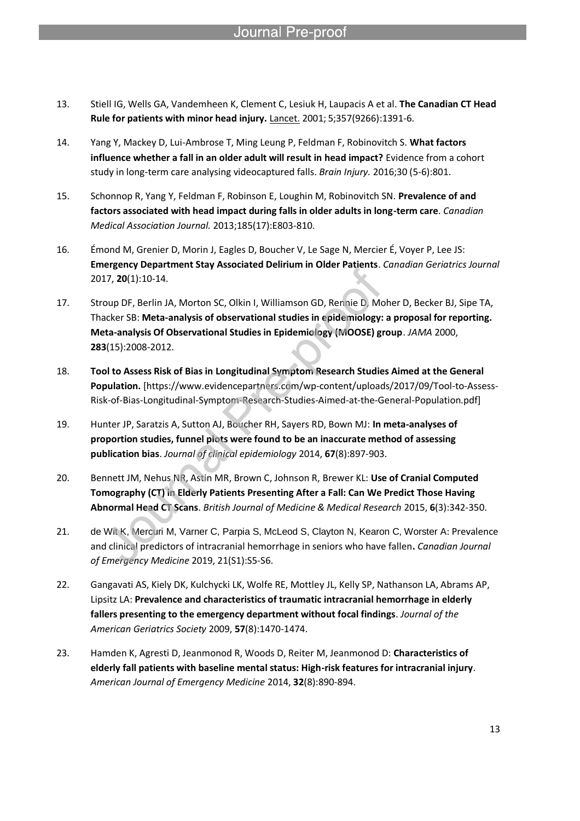- 13. Stiell IG, Wells GA, Vandemheen K, Clement C, Lesiuk H, Laupacis A et al. **The Canadian CT Head Rule for patients with minor head injury.** Lancet. 2001; 5;357(9266):1391-6.
- 14. Yang Y, Mackey D, Lui-Ambrose T, Ming Leung P, Feldman F, Robinovitch S. **What factors influence whether a fall in an older adult will result in head impact?** Evidence from a cohort study in long-term care analysing videocaptured falls. *Brain Injury.* 2016;30 (5-6):801.
- 15. Schonnop R, Yang Y, Feldman F, Robinson E, Loughin M, Robinovitch SN. **Prevalence of and factors associated with head impact during falls in older adults in long-term care**. *Canadian Medical Association Journal.* 2013;185(17):E803-810.
- 16. Émond M, Grenier D, Morin J, Eagles D, Boucher V, Le Sage N, Mercier É, Voyer P, Lee JS: **Emergency Department Stay Associated Delirium in Older Patients**. *Canadian Geriatrics Journal*  2017, **20**(1):10-14.
- 17. Stroup DF, Berlin JA, Morton SC, Olkin I, Williamson GD, Rennie D, Moher D, Becker BJ, Sipe TA, Thacker SB: **Meta-analysis of observational studies in epidemiology: a proposal for reporting. Meta-analysis Of Observational Studies in Epidemiology (MOOSE) group**. *JAMA* 2000, **283**(15):2008-2012.
- 18. **Tool to Assess Risk of Bias in Longitudinal Symptom Research Studies Aimed at the General Population.** [https://www.evidencepartners.com/wp-content/uploads/2017/09/Tool-to-Assess-Risk-of-Bias-Longitudinal-Symptom-Research-Studies-Aimed-at-the-General-Population.pdf]
- 19. Hunter JP, Saratzis A, Sutton AJ, Boucher RH, Sayers RD, Bown MJ: **In meta-analyses of proportion studies, funnel plots were found to be an inaccurate method of assessing publication bias**. *Journal of clinical epidemiology* 2014, **67**(8):897-903.
- 20. Bennett JM, Nehus NR, Astin MR, Brown C, Johnson R, Brewer KL: **Use of Cranial Computed Tomography (CT) in Elderly Patients Presenting After a Fall: Can We Predict Those Having Abnormal Head CT Scans**. *British Journal of Medicine & Medical Research* 2015, **6**(3):342-350.
- 21. de Wit K, Mercuri M, Varner C, Parpia S, McLeod S, Clayton N, Kearon C, Worster A: Prevalence and clinical predictors of intracranial hemorrhage in seniors who have fallen**.** *Canadian Journal of Emergency Medicine* 2019, 21(S1):S5-S6.
- 22. Gangavati AS, Kiely DK, Kulchycki LK, Wolfe RE, Mottley JL, Kelly SP, Nathanson LA, Abrams AP, Lipsitz LA: **Prevalence and characteristics of traumatic intracranial hemorrhage in elderly fallers presenting to the emergency department without focal findings**. *Journal of the American Geriatrics Society* 2009, **57**(8):1470-1474.
- 23. Hamden K, Agresti D, Jeanmonod R, Woods D, Reiter M, Jeanmonod D: **Characteristics of elderly fall patients with baseline mental status: High-risk features for intracranial injury**. *American Journal of Emergency Medicine* 2014, **32**(8):890-894.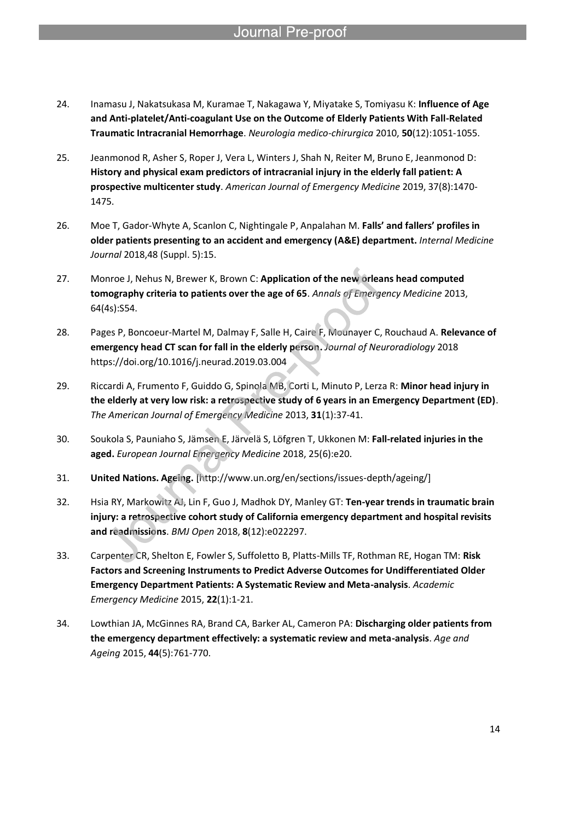24. Inamasu J, Nakatsukasa M, Kuramae T, Nakagawa Y, Miyatake S, Tomiyasu K: **Influence of Age and Anti-platelet/Anti-coagulant Use on the Outcome of Elderly Patients With Fall-Related Traumatic Intracranial Hemorrhage**. *Neurologia medico-chirurgica* 2010, **50**(12):1051-1055.

- 25. Jeanmonod R, Asher S, Roper J, Vera L, Winters J, Shah N, Reiter M, Bruno E, Jeanmonod D: **History and physical exam predictors of intracranial injury in the elderly fall patient: A prospective multicenter study**. *American Journal of Emergency Medicine* 2019, 37(8):1470- 1475.
- 26. Moe T, Gador-Whyte A, Scanlon C, Nightingale P, Anpalahan M. **Falls' and fallers' profiles in older patients presenting to an accident and emergency (A&E) department.** *Internal Medicine Journal* 2018,48 (Suppl. 5):15.
- 27. Monroe J, Nehus N, Brewer K, Brown C: **Application of the new orleans head computed tomography criteria to patients over the age of 65**. *Annals of Emergency Medicine* 2013, 64(4s):S54.
- 28. Pages P, Boncoeur-Martel M, Dalmay F, Salle H, Caire F, Mounayer C, Rouchaud A. **Relevance of emergency head CT scan for fall in the elderly person.** *Journal of Neuroradiology* 2018 https://doi.org/10.1016/j.neurad.2019.03.004
- 29. Riccardi A, Frumento F, Guiddo G, Spinola MB, Corti L, Minuto P, Lerza R: **Minor head injury in the elderly at very low risk: a retrospective study of 6 years in an Emergency Department (ED)**. *The American Journal of Emergency Medicine* 2013, **31**(1):37-41.
- 30. Soukola S, Pauniaho S, Jämsen E, Järvelä S, Löfgren T, Ukkonen M: **Fall-related injuries in the aged.** *European Journal Emergency Medicine* 2018, 25(6):e20.
- 31. **United Nations. Ageing.** [http://www.un.org/en/sections/issues-depth/ageing/]
- 32. Hsia RY, Markowitz AJ, Lin F, Guo J, Madhok DY, Manley GT: **Ten-year trends in traumatic brain injury: a retrospective cohort study of California emergency department and hospital revisits and readmissions**. *BMJ Open* 2018, **8**(12):e022297.
- 33. Carpenter CR, Shelton E, Fowler S, Suffoletto B, Platts-Mills TF, Rothman RE, Hogan TM: **Risk Factors and Screening Instruments to Predict Adverse Outcomes for Undifferentiated Older Emergency Department Patients: A Systematic Review and Meta-analysis**. *Academic Emergency Medicine* 2015, **22**(1):1-21.
- 34. Lowthian JA, McGinnes RA, Brand CA, Barker AL, Cameron PA: **Discharging older patients from the emergency department effectively: a systematic review and meta-analysis**. *Age and Ageing* 2015, **44**(5):761-770.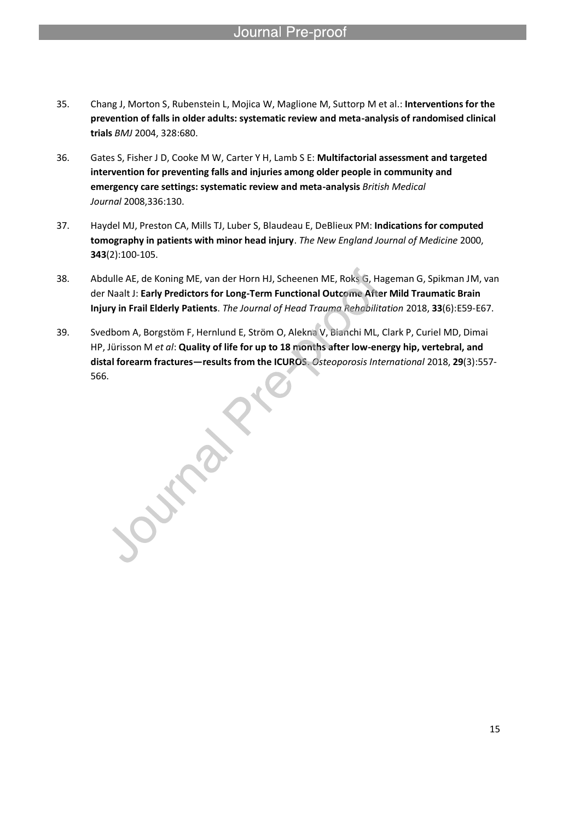- 35. Chang J, Morton S, Rubenstein L, Mojica W, Maglione M, Suttorp M et al.: **Interventions for the prevention of falls in older adults: systematic review and meta-analysis of randomised clinical trials** *BMJ* 2004, 328:680.
- 36. Gates S, Fisher J D, Cooke M W, Carter Y H, Lamb S E: **Multifactorial assessment and targeted intervention for preventing falls and injuries among older people in community and emergency care settings: systematic review and meta-analysis** *British Medical Journal* 2008,336:130.
- 37. Haydel MJ, Preston CA, Mills TJ, Luber S, Blaudeau E, DeBlieux PM: **Indications for computed tomography in patients with minor head injury**. *The New England Journal of Medicine* 2000, **343**(2):100-105.
- 38. Abdulle AE, de Koning ME, van der Horn HJ, Scheenen ME, Roks G, Hageman G, Spikman JM, van der Naalt J: **Early Predictors for Long-Term Functional Outcome After Mild Traumatic Brain Injury in Frail Elderly Patients**. *The Journal of Head Trauma Rehabilitation* 2018, **33**(6):E59-E67.
- 39. Svedbom A, Borgstöm F, Hernlund E, Ström O, Alekna V, Bianchi ML, Clark P, Curiel MD, Dimai HP, Jürisson M *et al*: **Quality of life for up to 18 months after low-energy hip, vertebral, and distal forearm fractures—results from the ICUROS**. *Osteoporosis International* 2018, **29**(3):557- 566.

Import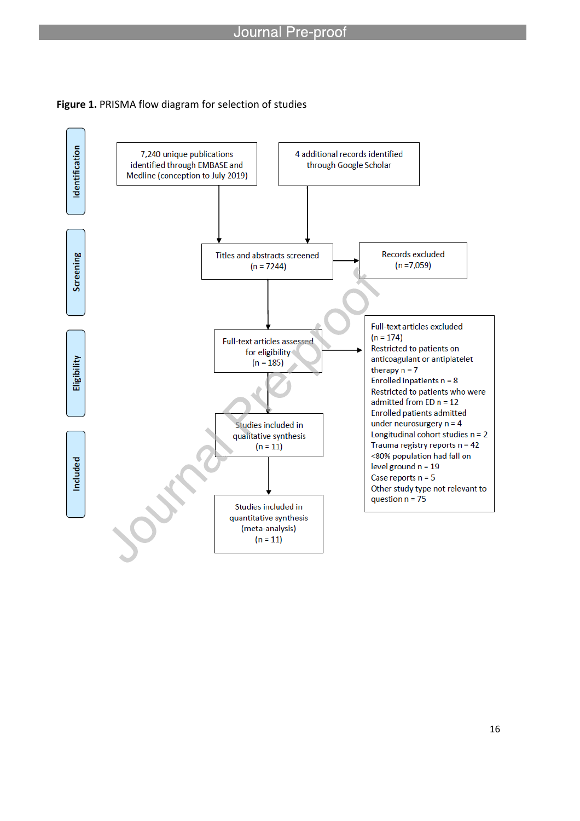

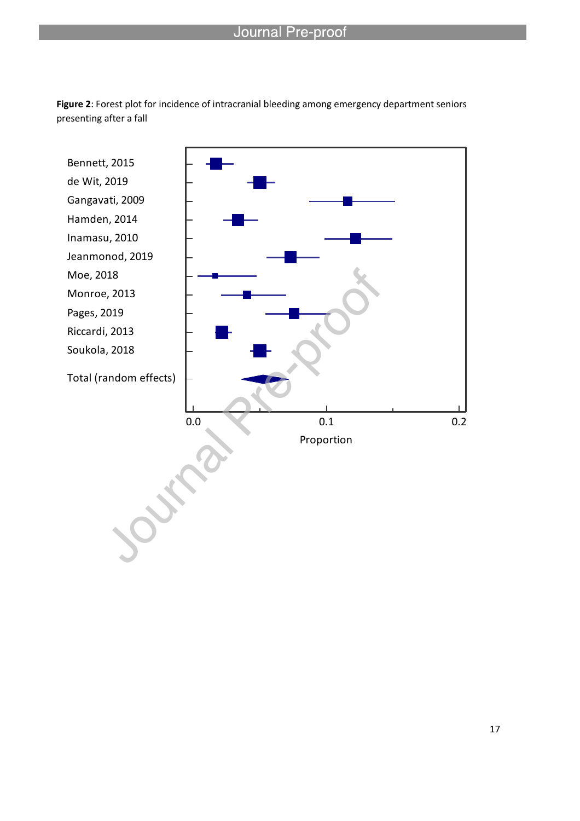

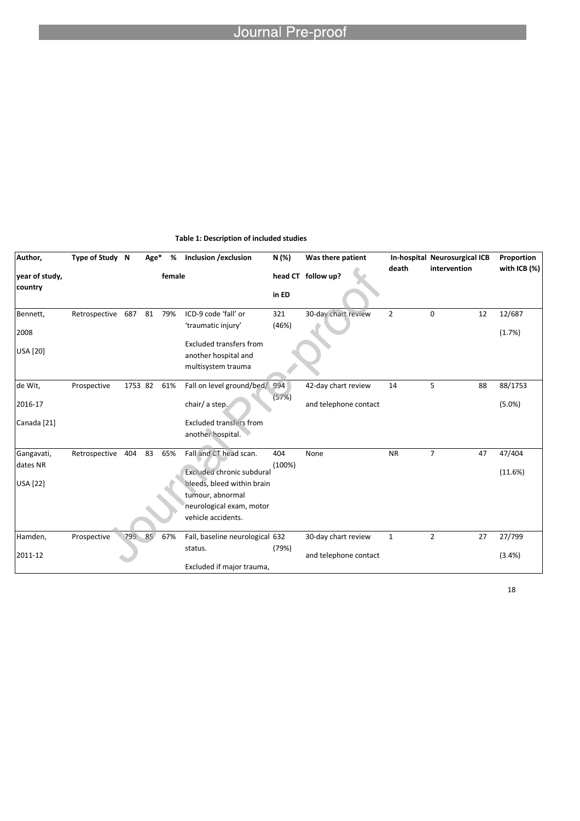| Author,                   | Type of Study N |         | Age* | %      | Inclusion / exclusion                                                        | N (%)        | Was there patient     |                | In-hospital Neurosurgical ICB |    | Proportion       |
|---------------------------|-----------------|---------|------|--------|------------------------------------------------------------------------------|--------------|-----------------------|----------------|-------------------------------|----|------------------|
| year of study,<br>country |                 |         |      | female |                                                                              | in ED        | head CT follow up?    | death          | intervention                  |    | with ICB $(%)$   |
| Bennett,<br>2008          | Retrospective   | 687     | 81   | 79%    | ICD-9 code 'fall' or<br>'traumatic injury'<br><b>Excluded transfers from</b> | 321<br>(46%) | 30-day chart review   | $\overline{2}$ | $\mathbf 0$                   | 12 | 12/687<br>(1.7%) |
| <b>USA</b> [20]           |                 |         |      |        | another hospital and<br>multisystem trauma                                   |              |                       |                |                               |    |                  |
| de Wit,                   | Prospective     | 1753 82 |      | 61%    | Fall on level ground/bed/                                                    | 994          | 42-day chart review   | 14             | 5                             | 88 | 88/1753          |
| 2016-17                   |                 |         |      |        | chair/ a step.                                                               | (57%)        | and telephone contact |                |                               |    | (5.0%            |
| Canada [21]               |                 |         |      |        | <b>Excluded transfers from</b><br>another hospital.                          |              |                       |                |                               |    |                  |
| Gangavati,                | Retrospective   | 404     | 83   | 65%    | Fall and CT head scan.                                                       | 404          | None                  | <b>NR</b>      | $\overline{7}$                | 47 | 47/404           |
| dates NR                  |                 |         |      |        | <b>Excluded chronic subdural</b>                                             | (100%)       |                       |                |                               |    | (11.6%)          |
| <b>USA</b> [22]           |                 |         |      |        | bleeds, bleed within brain<br>tumour, abnormal                               |              |                       |                |                               |    |                  |
|                           |                 |         |      |        | neurological exam, motor<br>vehicle accidents.                               |              |                       |                |                               |    |                  |
| Hamden,                   | Prospective     | 799     | 85   | 67%    | Fall, baseline neurological 632                                              |              | 30-day chart review   | $\mathbf{1}$   | $\overline{2}$                | 27 | 27/799           |
| 2011-12                   |                 |         |      |        | status.<br>Excluded if major trauma,                                         | (79%)        | and telephone contact |                |                               |    | (3.4%)           |

### **Table 1: Description of included studies**

l

18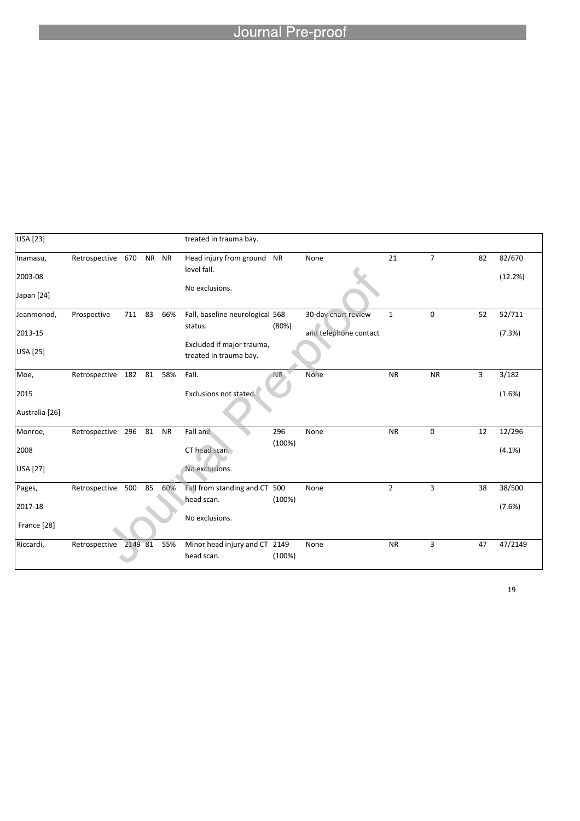# Journal Pre-proof

| <b>USA</b> [23] |                       |        |    |           | treated in trauma bay.                              |        |                       |                |                |    |         |
|-----------------|-----------------------|--------|----|-----------|-----------------------------------------------------|--------|-----------------------|----------------|----------------|----|---------|
| Inamasu,        | Retrospective 670     |        |    | NR NR     | Head injury from ground NR<br>level fall.           |        | None                  | 21             | $\overline{7}$ | 82 | 82/670  |
| 2003-08         |                       |        |    |           | No exclusions.                                      |        |                       |                |                |    | (12.2%) |
| Japan [24]      |                       |        |    |           |                                                     |        |                       |                |                |    |         |
| Jeanmonod,      | Prospective           | 711 83 |    | 66%       | Fall, baseline neurological 568                     |        | 30-day chart review   | $\mathbf{1}$   | $\mathbf 0$    | 52 | 52/711  |
| 2013-15         |                       |        |    |           | status.                                             | (80%)  | and telephone contact |                |                |    | (7.3%)  |
| <b>USA</b> [25] |                       |        |    |           | Excluded if major trauma,<br>treated in trauma bay. |        |                       |                |                |    |         |
| Moe,            | Retrospective 182 81  |        |    | 58%       | Fall.                                               | NR.    | None                  | <b>NR</b>      | <b>NR</b>      | 3  | 3/182   |
| 2015            |                       |        |    |           | Exclusions not stated.                              |        |                       |                |                |    | (1.6%)  |
| Australia [26]  |                       |        |    |           |                                                     |        |                       |                |                |    |         |
| Monroe,         | Retrospective 296 81  |        |    | <b>NR</b> | Fall and                                            | 296    | None                  | <b>NR</b>      | $\mathbf 0$    | 12 | 12/296  |
| 2008            |                       |        |    |           | CT head scan.                                       | (100%) |                       |                |                |    | (4.1%)  |
| <b>USA</b> [27] |                       |        |    |           | No exclusions.                                      |        |                       |                |                |    |         |
| Pages,          | Retrospective         | 500    | 85 | 60%       | Fall from standing and CT 500                       |        | None                  | $\overline{2}$ | 3              | 38 | 38/500  |
| 2017-18         |                       |        |    |           | head scan.                                          | (100%) |                       |                |                |    | (7.6%)  |
| France [28]     |                       |        |    |           | No exclusions.                                      |        |                       |                |                |    |         |
| Riccardi,       | Retrospective 2149 81 |        |    | 55%       | Minor head injury and CT 2149<br>head scan.         | (100%) | None                  | <b>NR</b>      | 3              | 47 | 47/2149 |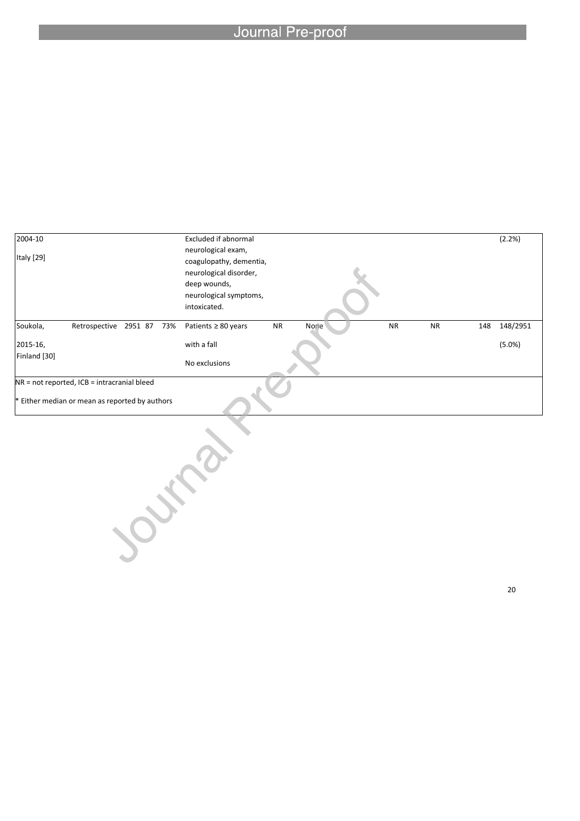# Journal Pre-proof

l

| 2004-10      |                                              |  | Excluded if abnormal     |           |      |           |           |     | (2.2%)   |
|--------------|----------------------------------------------|--|--------------------------|-----------|------|-----------|-----------|-----|----------|
|              |                                              |  | neurological exam,       |           |      |           |           |     |          |
| Italy [29]   |                                              |  | coagulopathy, dementia,  |           |      |           |           |     |          |
|              |                                              |  | neurological disorder,   |           |      |           |           |     |          |
|              |                                              |  | deep wounds,             |           |      |           |           |     |          |
|              |                                              |  | neurological symptoms,   |           |      |           |           |     |          |
|              |                                              |  | intoxicated.             |           |      |           |           |     |          |
|              |                                              |  |                          |           |      |           |           |     |          |
| Soukola,     | Retrospective 2951 87 73%                    |  | Patients $\geq 80$ years | <b>NR</b> | None | <b>NR</b> | <b>NR</b> | 148 | 148/2951 |
| 2015-16,     |                                              |  | with a fall              |           |      |           |           |     | (5.0%)   |
| Finland [30] |                                              |  | No exclusions            |           |      |           |           |     |          |
|              | NR = not reported, ICB = intracranial bleed  |  |                          |           |      |           |           |     |          |
|              |                                              |  |                          |           |      |           |           |     |          |
|              | Either median or mean as reported by authors |  |                          |           |      |           |           |     |          |
|              |                                              |  |                          |           |      |           |           |     |          |
|              |                                              |  |                          |           |      |           |           |     |          |
|              |                                              |  |                          |           |      |           |           |     |          |
|              |                                              |  |                          |           |      |           |           |     |          |
|              |                                              |  |                          |           |      |           |           |     |          |
|              |                                              |  |                          |           |      |           |           |     |          |
|              |                                              |  |                          |           |      |           |           |     |          |
|              |                                              |  |                          |           |      |           |           |     |          |
|              |                                              |  |                          |           |      |           |           |     |          |
|              |                                              |  |                          |           |      |           |           |     |          |
|              |                                              |  |                          |           |      |           |           |     |          |
|              |                                              |  |                          |           |      |           |           |     |          |
|              |                                              |  |                          |           |      |           |           |     |          |
|              |                                              |  |                          |           |      |           |           |     |          |

20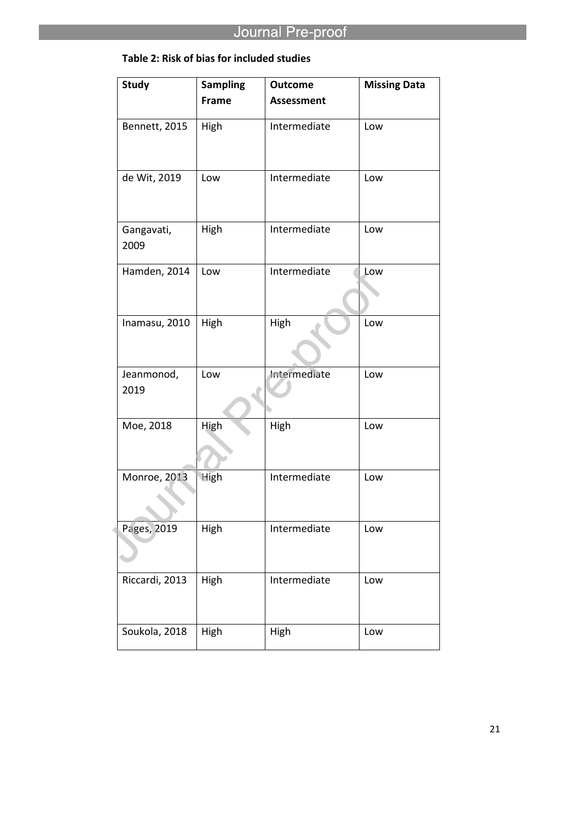# **Table 2: Risk of bias for included studies**

| <b>Study</b>       | <b>Sampling</b> | <b>Outcome</b>    | <b>Missing Data</b> |
|--------------------|-----------------|-------------------|---------------------|
|                    | Frame           | <b>Assessment</b> |                     |
| Bennett, 2015      | High            | Intermediate      | Low                 |
| de Wit, 2019       | Low             | Intermediate      | Low                 |
| Gangavati,<br>2009 | High            | Intermediate      | Low                 |
| Hamden, 2014       | Low             | Intermediate      | Low                 |
| Inamasu, 2010      | High            | High              | Low                 |
| Jeanmonod,<br>2019 | Low             | Intermediate      | Low                 |
| Moe, 2018          | High            | High              | Low                 |
| Monroe, 2013       | <b>High</b>     | Intermediate      | Low                 |
| Pages, 2019        | High            | Intermediate      | Low                 |
| Riccardi, 2013     | High            | Intermediate      | Low                 |
| Soukola, 2018      | High            | High              | Low                 |